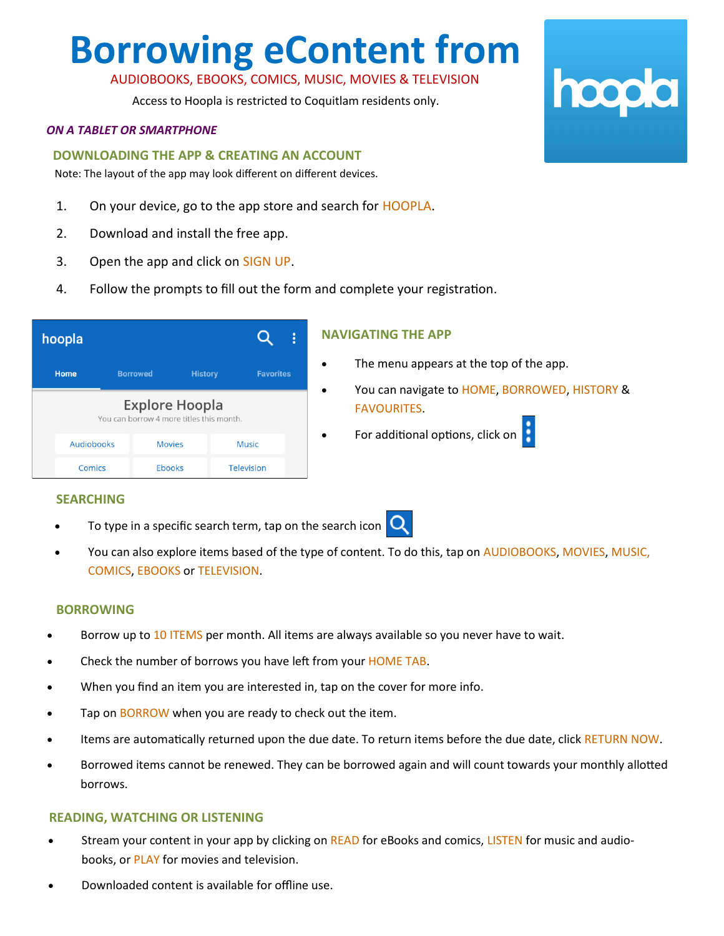# **Borrowing eContent from**

## AUDIOBOOKS, EBOOKS, COMICS, MUSIC, MOVIES & TELEVISION

Access to Hoopla is restricted to Coquitlam residents only.

#### *ON A TABLET OR SMARTPHONE*

#### **DOWNLOADING THE APP & CREATING AN ACCOUNT**

Note: The layout of the app may look different on different devices.

- 1. On your device, go to the app store and search for HOOPLA.
- 2. Download and install the free app.
- 3. Open the app and click on SIGN UP.
- 4. Follow the prompts to fill out the form and complete your registration.

|                                                                   | hoopla            |                 |                |                   |  |
|-------------------------------------------------------------------|-------------------|-----------------|----------------|-------------------|--|
|                                                                   | <b>Home</b>       | <b>Borrowed</b> | <b>History</b> | <b>Favorites</b>  |  |
| <b>Explore Hoopla</b><br>You can borrow 4 more titles this month. |                   |                 |                |                   |  |
|                                                                   | <b>Audiobooks</b> | <b>Movies</b>   |                | Music             |  |
|                                                                   | Comics            | <b>Ebooks</b>   |                | <b>Television</b> |  |

#### **NAVIGATING THE APP**

- The menu appears at the top of the app.
- You can navigate to HOME, BORROWED, HISTORY & FAVOURITES.
- For additional options, click on  $\blacksquare$

## **SEARCHING**

To type in a specific search term, tap on the search icon  $\Box$ 



• You can also explore items based of the type of content. To do this, tap on AUDIOBOOKS, MOVIES, MUSIC, COMICS, EBOOKS or TELEVISION.

#### **BORROWING**

- Borrow up to 10 ITEMS per month. All items are always available so you never have to wait.
- Check the number of borrows you have left from your HOME TAB.
- When you find an item you are interested in, tap on the cover for more info.
- Tap on BORROW when you are ready to check out the item.
- Items are automatically returned upon the due date. To return items before the due date, click RETURN NOW.
- Borrowed items cannot be renewed. They can be borrowed again and will count towards your monthly allotted borrows.

#### **READING, WATCHING OR LISTENING**

- Stream your content in your app by clicking on READ for eBooks and comics, LISTEN for music and audiobooks, or PLAY for movies and television.
- Downloaded content is available for offline use.